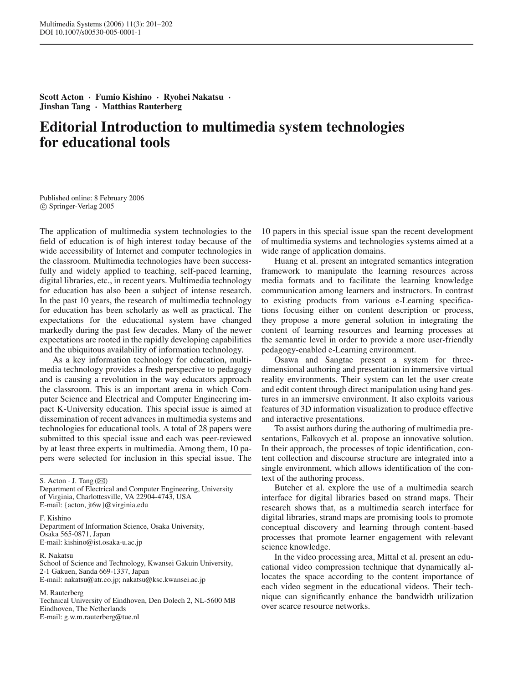**Scott Acton · Fumio Kishino · Ryohei Nakatsu · Jinshan Tang · Matthias Rauterberg**

## **Editorial Introduction to multimedia system technologies for educational tools**

Published online: 8 February 2006 c Springer-Verlag 2005

The application of multimedia system technologies to the field of education is of high interest today because of the wide accessibility of Internet and computer technologies in the classroom. Multimedia technologies have been successfully and widely applied to teaching, self-paced learning, digital libraries, etc., in recent years. Multimedia technology for education has also been a subject of intense research. In the past 10 years, the research of multimedia technology for education has been scholarly as well as practical. The expectations for the educational system have changed markedly during the past few decades. Many of the newer expectations are rooted in the rapidly developing capabilities and the ubiquitous availability of information technology.

As a key information technology for education, multimedia technology provides a fresh perspective to pedagogy and is causing a revolution in the way educators approach the classroom. This is an important arena in which Computer Science and Electrical and Computer Engineering impact K-University education. This special issue is aimed at dissemination of recent advances in multimedia systems and technologies for educational tools. A total of 28 papers were submitted to this special issue and each was peer-reviewed by at least three experts in multimedia. Among them, 10 papers were selected for inclusion in this special issue. The

S. Acton  $\cdot$  J. Tang ( $\boxtimes$ ) Department of Electrical and Computer Engineering, University of Virginia, Charlottesville, VA 22904-4743, USA E-mail: {acton, jt6w}@virginia.edu

F. Kishino Department of Information Science, Osaka University, Osaka 565-0871, Japan E-mail: kishino@ist.osaka-u.ac.jp

R. Nakatsu

School of Science and Technology, Kwansei Gakuin University, 2-1 Gakuen, Sanda 669-1337, Japan E-mail: nakatsu@atr.co.jp; nakatsu@ksc.kwansei.ac.jp

M. Rauterberg

Technical University of Eindhoven, Den Dolech 2, NL-5600 MB Eindhoven, The Netherlands E-mail: g.w.m.rauterberg@tue.nl

10 papers in this special issue span the recent development of multimedia systems and technologies systems aimed at a wide range of application domains.

Huang et al. present an integrated semantics integration framework to manipulate the learning resources across media formats and to facilitate the learning knowledge communication among learners and instructors. In contrast to existing products from various e-Learning specifications focusing either on content description or process, they propose a more general solution in integrating the content of learning resources and learning processes at the semantic level in order to provide a more user-friendly pedagogy-enabled e-Learning environment.

Osawa and Sangtae present a system for threedimensional authoring and presentation in immersive virtual reality environments. Their system can let the user create and edit content through direct manipulation using hand gestures in an immersive environment. It also exploits various features of 3D information visualization to produce effective and interactive presentations.

To assist authors during the authoring of multimedia presentations, Falkovych et al. propose an innovative solution. In their approach, the processes of topic identification, content collection and discourse structure are integrated into a single environment, which allows identification of the context of the authoring process.

Butcher et al. explore the use of a multimedia search interface for digital libraries based on strand maps. Their research shows that, as a multimedia search interface for digital libraries, strand maps are promising tools to promote conceptual discovery and learning through content-based processes that promote learner engagement with relevant science knowledge.

In the video processing area, Mittal et al. present an educational video compression technique that dynamically allocates the space according to the content importance of each video segment in the educational videos. Their technique can significantly enhance the bandwidth utilization over scarce resource networks.